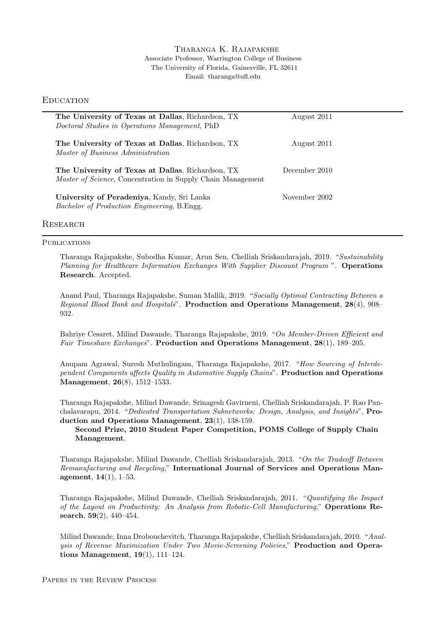## Tharanga K. Rajapakshe Associate Professor, Warrington College of Business The University of Florida, Gainesville, FL 32611 Email: tharanga@ufl.edu

## **EDUCATION**

| The University of Texas at Dallas, Richardson, TX<br>Doctoral Studies in Operations Management, PhD                      | August 2011   |  |
|--------------------------------------------------------------------------------------------------------------------------|---------------|--|
| The University of Texas at Dallas, Richardson, TX<br>Master of Business Administration                                   | August 2011   |  |
| The University of Texas at Dallas, Richardson, TX<br><i>Master of Science</i> , Concentration in Supply Chain Management | December 2010 |  |
| University of Peradeniya, Kandy, Sri Lanka<br>Bachelor of Production Engineering, B. Engg.                               | November 2002 |  |
| <b>RESEARCH</b>                                                                                                          |               |  |

# **PUBLICATIONS**

Tharanga Rajapakshe, Subodha Kumar, Arun Sen, Chelliah Sriskandarajah, 2019. "*Sustainability Planning for Healthcare Information Exchanges With Supplier Discount Program* ". **Operations Research**. Accepted.

Anand Paul, Tharanga Rajapakshe, Suman Mallik, 2019. "*Socially Optimal Contracting Between a Regional Blood Bank and Hospitals*". **Production and Operations Management**, **28**(4), 908– 932.

Bahriye Cesaret, Milind Dawande, Tharanga Rajapakshe, 2019. "*On Member-Driven Efficient and Fair Timeshare Exchanges*". **Production and Operations Management**, **28**(1), 189–205.

Anupam Agrawal, Suresh Muthulingam, Tharanga Rajapakshe, 2017. "*How Sourcing of Interdependent Components affects Quality in Automotive Supply Chains*". **Production and Operations Management**, **26**(8), 1512–1533.

Tharanga Rajapakshe, Milind Dawande, Srinagesh Gavirneni, Chelliah Sriskandarajah, P. Rao Panchalavarapu, 2014. "*Dedicated Transportation Subnetworks: Design, Analysis, and Insights*", **Production and Operations Management**, **23**(1), 138-159.

**Second Prize, 2010 Student Paper Competition, POMS College of Supply Chain Management**.

Tharanga Rajapakshe, Milind Dawande, Chelliah Sriskandarajah, 2013. "*On the Tradeoff Between Remanufacturing and Recycling*," **International Journal of Services and Operations Management**, **14**(1), 1–53.

Tharanga Rajapakshe, Milind Dawande, Chelliah Sriskandarajah, 2011. "*Quantifying the Impact of the Layout on Productivity: An Analysis from Robotic-Cell Manufacturing*," **Operations Research**, **59**(2), 440–454.

Milind Dawande, Inna Drobouchevitch, Tharanga Rajapakshe, Chelliah Sriskandarajah, 2010. "*Analysis of Revenue Maximization Under Two Movie-Screening Policies*," **Production and Operations Management**, **19**(1), 111–124.

Papers in the Review Process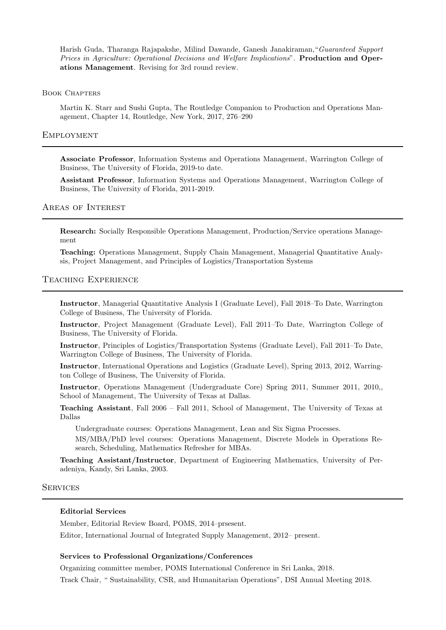Harish Guda, Tharanga Rajapakshe, Milind Dawande, Ganesh Janakiraman,"*Guaranteed Support Prices in Agriculture: Operational Decisions and Welfare Implications*". **Production and Operations Management**. Revising for 3rd round review.

#### Book Chapters

Martin K. Starr and Sushi Gupta, The Routledge Companion to Production and Operations Management, Chapter 14, Routledge, New York, 2017, 276–290

## **EMPLOYMENT**

**Associate Professor**, Information Systems and Operations Management, Warrington College of Business, The University of Florida, 2019-to date.

**Assistant Professor**, Information Systems and Operations Management, Warrington College of Business, The University of Florida, 2011-2019.

## Areas of Interest

**Research:** Socially Responsible Operations Management, Production/Service operations Management

**Teaching:** Operations Management, Supply Chain Management, Managerial Quantitative Analysis, Project Management, and Principles of Logistics/Transportation Systems

### Teaching Experience

**Instructor**, Managerial Quantitative Analysis I (Graduate Level), Fall 2018–To Date, Warrington College of Business, The University of Florida.

**Instructor**, Project Management (Graduate Level), Fall 2011–To Date, Warrington College of Business, The University of Florida.

**Instructor**, Principles of Logistics/Transportation Systems (Graduate Level), Fall 2011–To Date, Warrington College of Business, The University of Florida.

**Instructor**, International Operations and Logistics (Graduate Level), Spring 2013, 2012, Warrington College of Business, The University of Florida.

**Instructor**, Operations Management (Undergraduate Core) Spring 2011, Summer 2011, 2010,, School of Management, The University of Texas at Dallas.

**Teaching Assistant**, Fall 2006 – Fall 2011, School of Management, The University of Texas at Dallas

Undergraduate courses: Operations Management, Lean and Six Sigma Processes.

MS/MBA/PhD level courses: Operations Management, Discrete Models in Operations Research, Scheduling, Mathematics Refresher for MBAs.

**Teaching Assistant/Instructor**, Department of Engineering Mathematics, University of Peradeniya, Kandy, Sri Lanka, 2003.

#### **SERVICES**

## **Editorial Services**

Member, Editorial Review Board, POMS, 2014–prsesent.

Editor, International Journal of Integrated Supply Management, 2012– present.

#### **Services to Professional Organizations/Conferences**

Organizing committee member, POMS International Conference in Sri Lanka, 2018.

Track Chair, " Sustainability, CSR, and Humanitarian Operations", DSI Annual Meeting 2018.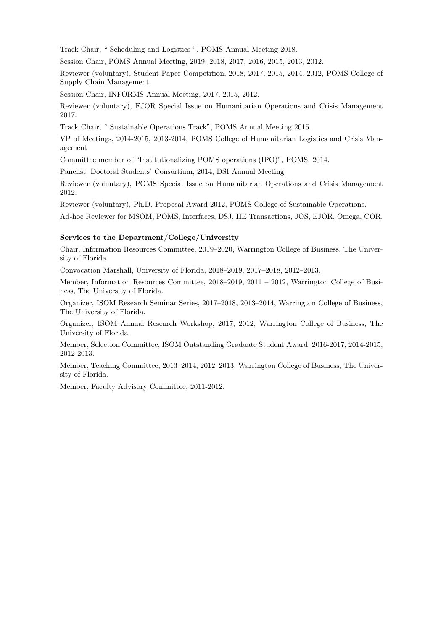Track Chair, " Scheduling and Logistics ", POMS Annual Meeting 2018.

Session Chair, POMS Annual Meeting, 2019, 2018, 2017, 2016, 2015, 2013, 2012.

Reviewer (voluntary), Student Paper Competition, 2018, 2017, 2015, 2014, 2012, POMS College of Supply Chain Management.

Session Chair, INFORMS Annual Meeting, 2017, 2015, 2012.

Reviewer (voluntary), EJOR Special Issue on Humanitarian Operations and Crisis Management 2017.

Track Chair, " Sustainable Operations Track", POMS Annual Meeting 2015.

VP of Meetings, 2014-2015, 2013-2014, POMS College of Humanitarian Logistics and Crisis Management

Committee member of "Institutionalizing POMS operations (IPO)", POMS, 2014.

Panelist, Doctoral Students' Consortium, 2014, DSI Annual Meeting.

Reviewer (voluntary), POMS Special Issue on Humanitarian Operations and Crisis Management 2012.

Reviewer (voluntary), Ph.D. Proposal Award 2012, POMS College of Sustainable Operations.

Ad-hoc Reviewer for MSOM, POMS, Interfaces, DSJ, IIE Transactions, JOS, EJOR, Omega, COR.

#### **Services to the Department/College/University**

Chair, Information Resources Committee, 2019–2020, Warrington College of Business, The University of Florida.

Convocation Marshall, University of Florida, 2018–2019, 2017–2018, 2012–2013.

Member, Information Resources Committee, 2018–2019, 2011 – 2012, Warrington College of Business, The University of Florida.

Organizer, ISOM Research Seminar Series, 2017–2018, 2013–2014, Warrington College of Business, The University of Florida.

Organizer, ISOM Annual Research Workshop, 2017, 2012, Warrington College of Business, The University of Florida.

Member, Selection Committee, ISOM Outstanding Graduate Student Award, 2016-2017, 2014-2015, 2012-2013.

Member, Teaching Committee, 2013–2014, 2012–2013, Warrington College of Business, The University of Florida.

Member, Faculty Advisory Committee, 2011-2012.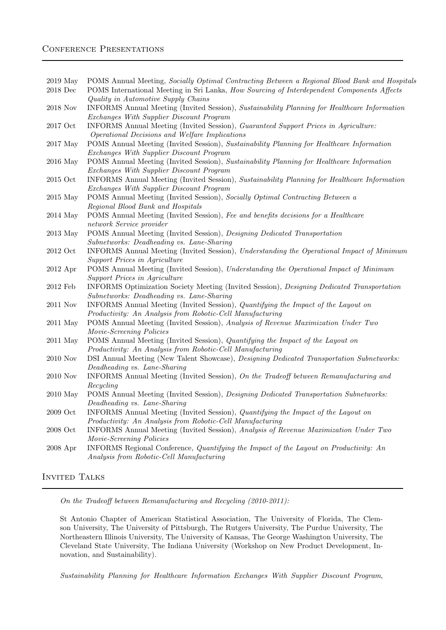# CONFERENCE PRESENTATIONS

2019 May POMS Annual Meeting, *Socially Optimal Contracting Between a Regional Blood Bank and Hospitals* 2018 Dec POMS International Meeting in Sri Lanka, *How Sourcing of Interdependent Components Affects Quality in Automotive Supply Chains* 2018 Nov INFORMS Annual Meeting (Invited Session), *Sustainability Planning for Healthcare Information Exchanges With Supplier Discount Program* 2017 Oct INFORMS Annual Meeting (Invited Session), *Guaranteed Support Prices in Agriculture: Operational Decisions and Welfare Implications* 2017 May POMS Annual Meeting (Invited Session), *Sustainability Planning for Healthcare Information Exchanges With Supplier Discount Program* 2016 May POMS Annual Meeting (Invited Session), *Sustainability Planning for Healthcare Information Exchanges With Supplier Discount Program* 2015 Oct INFORMS Annual Meeting (Invited Session), *Sustainability Planning for Healthcare Information Exchanges With Supplier Discount Program* 2015 May POMS Annual Meeting (Invited Session), *Socially Optimal Contracting Between a Regional Blood Bank and Hospitals* 2014 May POMS Annual Meeting (Invited Session), *Fee and benefits decisions for a Healthcare network Service provider* 2013 May POMS Annual Meeting (Invited Session), *Designing Dedicated Transportation Subnetworks: Deadheading vs. Lane-Sharing* 2012 Oct INFORMS Annual Meeting (Invited Session), *Understanding the Operational Impact of Minimum Support Prices in Agriculture* 2012 Apr POMS Annual Meeting (Invited Session), *Understanding the Operational Impact of Minimum Support Prices in Agriculture* 2012 Feb INFORMS Optimization Society Meeting (Invited Session), *Designing Dedicated Transportation Subnetworks: Deadheading vs. Lane-Sharing* 2011 Nov INFORMS Annual Meeting (Invited Session), *Quantifying the Impact of the Layout on Productivity: An Analysis from Robotic-Cell Manufacturing* 2011 May POMS Annual Meeting (Invited Session), *Analysis of Revenue Maximization Under Two Movie-Screening Policies* 2011 May POMS Annual Meeting (Invited Session), *Quantifying the Impact of the Layout on Productivity: An Analysis from Robotic-Cell Manufacturing* 2010 Nov DSI Annual Meeting (New Talent Showcase), *Designing Dedicated Transportation Subnetworks: Deadheading vs. Lane-Sharing* 2010 Nov INFORMS Annual Meeting (Invited Session), *On the Tradeoff between Remanufacturing and Recycling* 2010 May POMS Annual Meeting (Invited Session), *Designing Dedicated Transportation Subnetworks: Deadheading vs. Lane-Sharing* 2009 Oct INFORMS Annual Meeting (Invited Session), *Quantifying the Impact of the Layout on Productivity: An Analysis from Robotic-Cell Manufacturing* 2008 Oct INFORMS Annual Meeting (Invited Session), *Analysis of Revenue Maximization Under Two Movie-Screening Policies* 2008 Apr INFORMS Regional Conference, *Quantifying the Impact of the Layout on Productivity: An Analysis from Robotic-Cell Manufacturing*

INVITED TALKS

*On the Tradeoff between Remanufacturing and Recycling (2010-2011):*

St Antonio Chapter of American Statistical Association, The University of Florida, The Clemson University, The University of Pittsburgh, The Rutgers University, The Purdue University, The Northeastern Illinois University, The University of Kansas, The George Washington University, The Cleveland State University, The Indiana University (Workshop on New Product Development, Innovation, and Sustainability).

*Sustainability Planning for Healthcare Information Exchanges With Supplier Discount Program*,